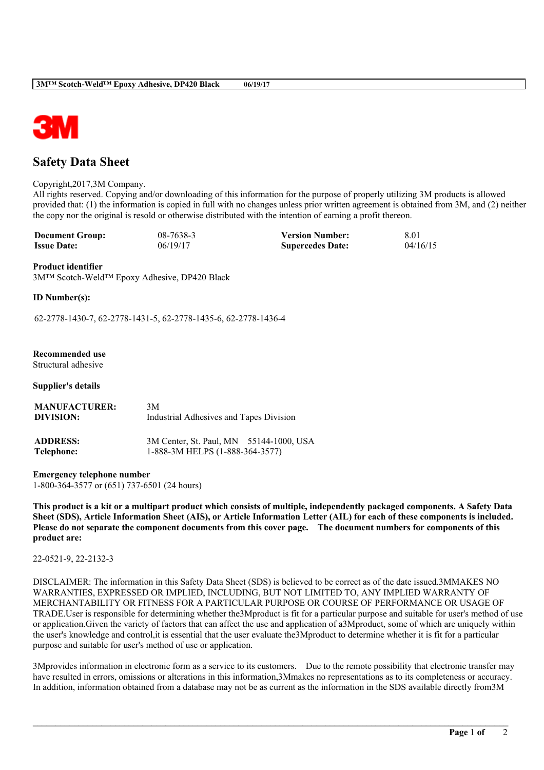

# **Safety Data Sheet**

#### Copyright,2017,3M Company.

All rights reserved. Copying and/or downloading of this information for the purpose of properly utilizing 3M products is allowed provided that: (1) the information is copied in full with no changes unless prior written agreement is obtained from 3M, and (2) neither the copy nor the original is resold or otherwise distributed with the intention of earning a profit thereon.

| <b>Document Group:</b> | 08-7638-3 | <b>Version Number:</b>  | -8.01    |
|------------------------|-----------|-------------------------|----------|
| <b>Issue Date:</b>     | 06/19/17  | <b>Supercedes Date:</b> | 04/16/15 |

#### **Product identifier**

3M™ Scotch-Weld™ Epoxy Adhesive, DP420 Black

**ID Number(s):**

62-2778-1430-7, 62-2778-1431-5, 62-2778-1435-6, 62-2778-1436-4

# **Recommended use**

Structural adhesive

#### **Supplier's details**

| <b>MANUFACTURER:</b> | 3M                                      |
|----------------------|-----------------------------------------|
| DIVISION:            | Industrial Adhesives and Tapes Division |
| <b>ADDRESS:</b>      | 3M Center, St. Paul, MN 55144-1000, USA |
| Telephone:           | 1-888-3M HELPS (1-888-364-3577)         |

**Emergency telephone number** 1-800-364-3577 or (651) 737-6501 (24 hours)

This product is a kit or a multipart product which consists of multiple, independently packaged components. A Safety Data Sheet (SDS), Article Information Sheet (AIS), or Article Information Letter (AIL) for each of these components is included. Please do not separate the component documents from this cover page. The document numbers for components of this **product are:**

## 22-0521-9, 22-2132-3

DISCLAIMER: The information in this Safety Data Sheet (SDS) is believed to be correct as of the date issued.3MMAKES NO WARRANTIES, EXPRESSED OR IMPLIED, INCLUDING, BUT NOT LIMITED TO, ANY IMPLIED WARRANTY OF MERCHANTABILITY OR FITNESS FOR A PARTICULAR PURPOSE OR COURSE OF PERFORMANCE OR USAGE OF TRADE.User is responsible for determining whether the3Mproduct is fit for a particular purpose and suitable for user's method of use or application.Given the variety of factors that can affect the use and application of a3Mproduct, some of which are uniquely within the user's knowledge and control,it is essential that the user evaluate the3Mproduct to determine whether it is fit for a particular purpose and suitable for user's method of use or application.

3Mprovides information in electronic form as a service to its customers. Due to the remote possibility that electronic transfer may have resulted in errors, omissions or alterations in this information,3Mmakes no representations as to its completeness or accuracy. In addition, information obtained from a database may not be as current as the information in the SDS available directly from3M

**\_\_\_\_\_\_\_\_\_\_\_\_\_\_\_\_\_\_\_\_\_\_\_\_\_\_\_\_\_\_\_\_\_\_\_\_\_\_\_\_\_\_\_\_\_\_\_\_\_\_\_\_\_\_\_\_\_\_\_\_\_\_\_\_\_\_\_\_\_\_\_\_\_\_\_\_\_\_\_\_\_\_\_\_\_\_\_\_\_\_\_\_\_\_\_\_\_\_\_\_\_\_\_\_**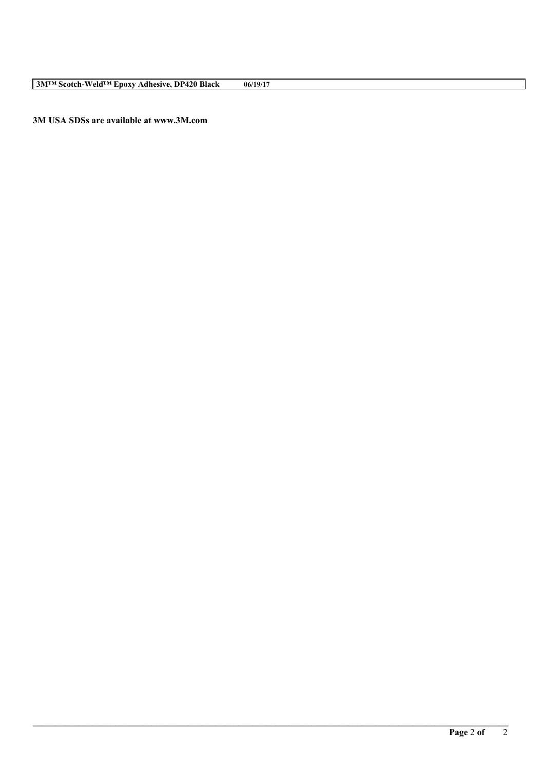**3M™ Scotch-Weld™ Epoxy Adhesive, DP420 Black 06/19/17**

**3M USA SDSs are available at www.3M.com**

**\_\_\_\_\_\_\_\_\_\_\_\_\_\_\_\_\_\_\_\_\_\_\_\_\_\_\_\_\_\_\_\_\_\_\_\_\_\_\_\_\_\_\_\_\_\_\_\_\_\_\_\_\_\_\_\_\_\_\_\_\_\_\_\_\_\_\_\_\_\_\_\_\_\_\_\_\_\_\_\_\_\_\_\_\_\_\_\_\_\_\_\_\_\_\_\_\_\_\_\_\_\_\_\_**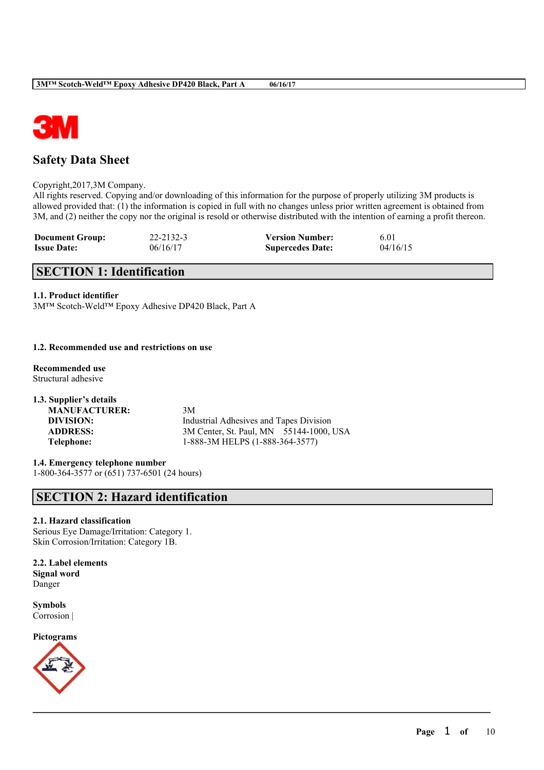

# **Safety Data Sheet**

Copyright,2017,3M Company.

All rights reserved. Copying and/or downloading of this information for the purpose of properly utilizing 3M products is allowed provided that: (1) the information is copied in full with no changes unless prior written agreement is obtained from 3M, and (2) neither the copy nor the original is resold or otherwise distributed with the intention of earning a profit thereon.

 $\mathcal{L}_\mathcal{L} = \mathcal{L}_\mathcal{L} = \mathcal{L}_\mathcal{L} = \mathcal{L}_\mathcal{L} = \mathcal{L}_\mathcal{L} = \mathcal{L}_\mathcal{L} = \mathcal{L}_\mathcal{L} = \mathcal{L}_\mathcal{L} = \mathcal{L}_\mathcal{L} = \mathcal{L}_\mathcal{L} = \mathcal{L}_\mathcal{L} = \mathcal{L}_\mathcal{L} = \mathcal{L}_\mathcal{L} = \mathcal{L}_\mathcal{L} = \mathcal{L}_\mathcal{L} = \mathcal{L}_\mathcal{L} = \mathcal{L}_\mathcal{L}$ 

| <b>Document Group:</b> | 22-2132-3 | <b>Version Number:</b>  | 6.01     |
|------------------------|-----------|-------------------------|----------|
| <b>Issue Date:</b>     | 06/16/17  | <b>Supercedes Date:</b> | 04/16/15 |

# **SECTION 1: Identification**

## **1.1. Product identifier**

3M™ Scotch-Weld™ Epoxy Adhesive DP420 Black, Part A

## **1.2. Recommended use and restrictions on use**

**Recommended use** Structural adhesive

**1.3. Supplier's details MANUFACTURER:** 3M **DIVISION:** Industrial Adhesives and Tapes Division **ADDRESS:** 3M Center, St. Paul, MN 55144-1000, USA **Telephone:** 1-888-3M HELPS (1-888-364-3577)

**1.4. Emergency telephone number** 1-800-364-3577 or (651) 737-6501 (24 hours)

# **SECTION 2: Hazard identification**

## **2.1. Hazard classification**

Serious Eye Damage/Irritation: Category 1. Skin Corrosion/Irritation: Category 1B.

**2.2. Label elements Signal word** Danger

**Symbols** Corrosion |

**Pictograms**

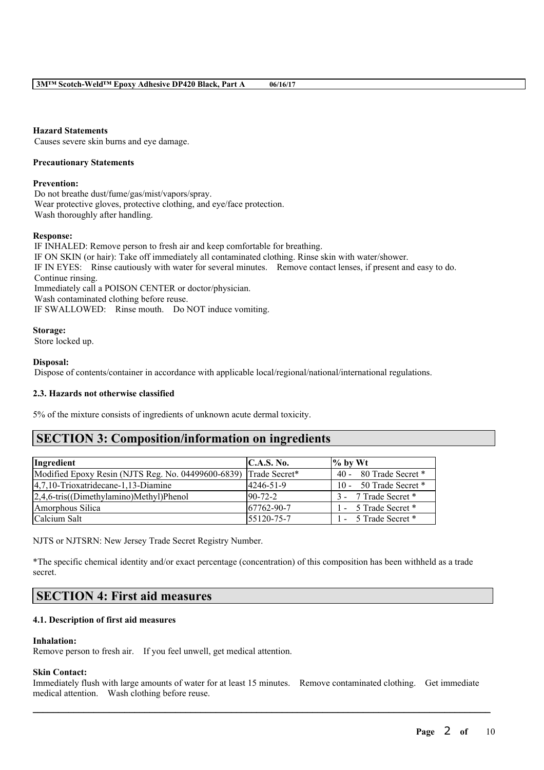## **Hazard Statements**

Causes severe skin burns and eye damage.

#### **Precautionary Statements**

#### **Prevention:**

Do not breathe dust/fume/gas/mist/vapors/spray. Wear protective gloves, protective clothing, and eye/face protection. Wash thoroughly after handling.

#### **Response:**

IF INHALED: Remove person to fresh air and keep comfortable for breathing. IF ON SKIN (or hair): Take off immediately all contaminated clothing. Rinse skin with water/shower. IF IN EYES: Rinse cautiously with water for several minutes. Remove contact lenses, if present and easy to do. Continue rinsing. Immediately call a POISON CENTER or doctor/physician. Wash contaminated clothing before reuse. IF SWALLOWED: Rinse mouth. Do NOT induce vomiting.

#### **Storage:**

Store locked up.

## **Disposal:**

Dispose of contents/container in accordance with applicable local/regional/national/international regulations.

## **2.3. Hazards not otherwise classified**

5% of the mixture consists of ingredients of unknown acute dermal toxicity.

# **SECTION 3: Composition/information on ingredients**

| Ingredient                                         | C.A.S. No.        | $\%$ by Wt             |
|----------------------------------------------------|-------------------|------------------------|
| Modified Epoxy Resin (NJTS Reg. No. 04499600-6839) | Trade Secret*     | 40 - 80 Trade Secret * |
| $ 4,7,10$ -Trioxatridecane-1,13-Diamine            | 4246-51-9         | 10 - 50 Trade Secret * |
| 2,4,6-tris((Dimethylamino)Methyl)Phenol            | $90-72-2$         | 3 - 7 Trade Secret *   |
| Amorphous Silica                                   | $167762 - 90 - 7$ | 1 - 5 Trade Secret *   |
| Calcium Salt                                       | 55120-75-7        | 1 - 5 Trade Secret *   |

NJTS or NJTSRN: New Jersey Trade Secret Registry Number.

\*The specific chemical identity and/or exact percentage (concentration) of this composition has been withheld as a trade secret.

# **SECTION 4: First aid measures**

## **4.1. Description of first aid measures**

#### **Inhalation:**

Remove person to fresh air. If you feel unwell, get medical attention.

## **Skin Contact:**

Immediately flush with large amounts of water for at least 15 minutes. Remove contaminated clothing. Get immediate medical attention. Wash clothing before reuse.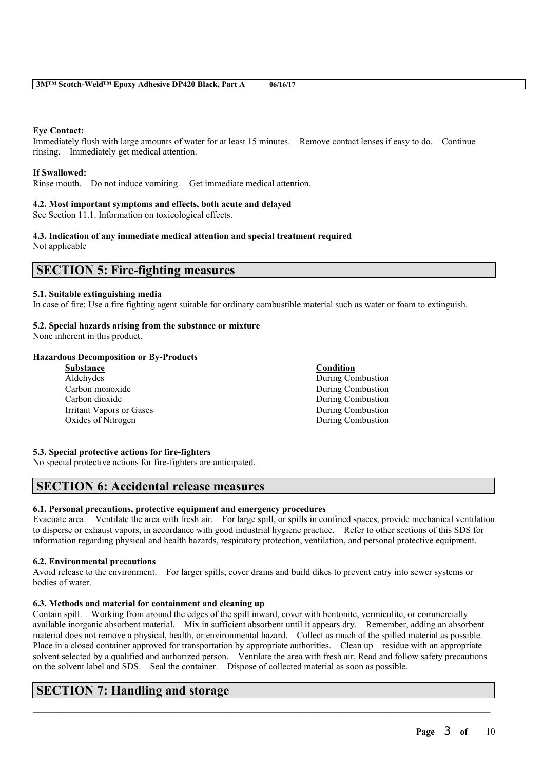## **Eye Contact:**

Immediately flush with large amounts of water for at least 15 minutes. Remove contact lenses if easy to do. Continue rinsing. Immediately get medical attention.

## **If Swallowed:**

Rinse mouth. Do not induce vomiting. Get immediate medical attention.

## **4.2. Most important symptoms and effects, both acute and delayed**

See Section 11.1. Information on toxicological effects.

#### **4.3. Indication of any immediate medical attention and special treatment required** Not applicable

# **SECTION 5: Fire-fighting measures**

## **5.1. Suitable extinguishing media**

In case of fire: Use a fire fighting agent suitable for ordinary combustible material such as water or foam to extinguish.

## **5.2. Special hazards arising from the substance or mixture**

None inherent in this product.

# **Hazardous Decomposition or By-Products**

| <b>Substance</b>                | Condition         |
|---------------------------------|-------------------|
| Aldehydes                       | During Combustion |
| Carbon monoxide                 | During Combustion |
| Carbon dioxide                  | During Combustion |
| <b>Irritant Vapors or Gases</b> | During Combustion |
| Oxides of Nitrogen              | During Combustion |

# **5.3. Special protective actions for fire-fighters**

No special protective actions for fire-fighters are anticipated.

# **SECTION 6: Accidental release measures**

## **6.1. Personal precautions, protective equipment and emergency procedures**

Evacuate area. Ventilate the area with fresh air. For large spill, or spills in confined spaces, provide mechanical ventilation to disperse or exhaust vapors, in accordance with good industrial hygiene practice. Refer to other sections of this SDS for information regarding physical and health hazards, respiratory protection, ventilation, and personal protective equipment.

## **6.2. Environmental precautions**

Avoid release to the environment. For larger spills, cover drains and build dikes to prevent entry into sewer systems or bodies of water.

## **6.3. Methods and material for containment and cleaning up**

Contain spill. Working from around the edges of the spill inward, cover with bentonite, vermiculite, or commercially available inorganic absorbent material. Mix in sufficient absorbent until it appears dry. Remember, adding an absorbent material does not remove a physical, health, or environmental hazard. Collect as much of the spilled material as possible. Place in a closed container approved for transportation by appropriate authorities. Clean up residue with an appropriate solvent selected by a qualified and authorized person. Ventilate the area with fresh air. Read and follow safety precautions on the solvent label and SDS. Seal the container. Dispose of collected material as soon as possible.

 $\mathcal{L}_\mathcal{L} = \mathcal{L}_\mathcal{L} = \mathcal{L}_\mathcal{L} = \mathcal{L}_\mathcal{L} = \mathcal{L}_\mathcal{L} = \mathcal{L}_\mathcal{L} = \mathcal{L}_\mathcal{L} = \mathcal{L}_\mathcal{L} = \mathcal{L}_\mathcal{L} = \mathcal{L}_\mathcal{L} = \mathcal{L}_\mathcal{L} = \mathcal{L}_\mathcal{L} = \mathcal{L}_\mathcal{L} = \mathcal{L}_\mathcal{L} = \mathcal{L}_\mathcal{L} = \mathcal{L}_\mathcal{L} = \mathcal{L}_\mathcal{L}$ 

# **SECTION 7: Handling and storage**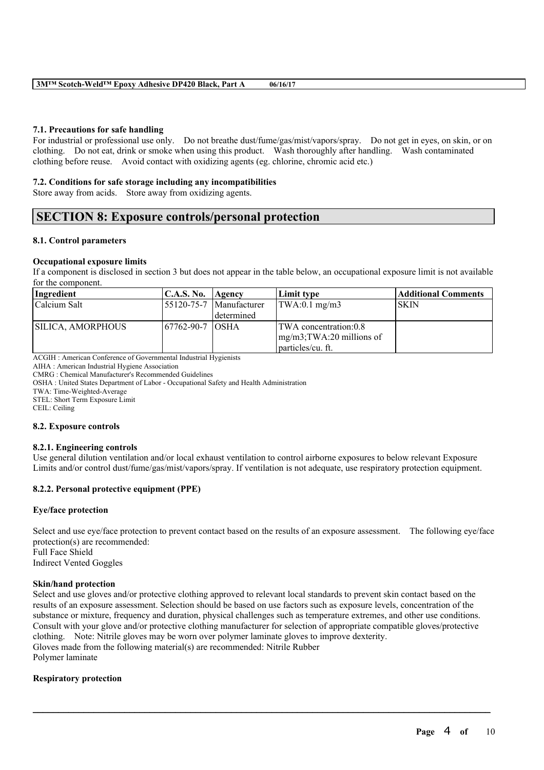## **7.1. Precautions for safe handling**

For industrial or professional use only. Do not breathe dust/fume/gas/mist/vapors/spray. Do not get in eyes, on skin, or on clothing. Do not eat, drink or smoke when using this product. Wash thoroughly after handling. Wash contaminated clothing before reuse. Avoid contact with oxidizing agents (eg. chlorine, chromic acid etc.)

#### **7.2. Conditions for safe storage including any incompatibilities**

Store away from acids. Store away from oxidizing agents.

# **SECTION 8: Exposure controls/personal protection**

#### **8.1. Control parameters**

## **Occupational exposure limits**

If a component is disclosed in section 3 but does not appear in the table below, an occupational exposure limit is not available for the component.

| Ingredient        | C.A.S. No. Agency |                             | Limit type                             | <b>Additional Comments</b> |
|-------------------|-------------------|-----------------------------|----------------------------------------|----------------------------|
| Calcium Salt      |                   | $ 55120-75-7 $ Manufacturer | $\text{TWA}:0.1 \text{ mg/m3}$         | ISKIN                      |
|                   |                   | l determined                |                                        |                            |
| SILICA, AMORPHOUS | 167762-90-7 IOSHA |                             | TWA concentration:0.8                  |                            |
|                   |                   |                             | $\frac{mg}{m^3}$ ; TWA: 20 millions of |                            |
|                   |                   |                             | <i>l</i> particles/cu. ft.             |                            |

ACGIH : American Conference of Governmental Industrial Hygienists

AIHA : American Industrial Hygiene Association

CMRG : Chemical Manufacturer's Recommended Guidelines

OSHA : United States Department of Labor - Occupational Safety and Health Administration

TWA: Time-Weighted-Average

STEL: Short Term Exposure Limit

CEIL: Ceiling

#### **8.2. Exposure controls**

#### **8.2.1. Engineering controls**

Use general dilution ventilation and/or local exhaust ventilation to control airborne exposures to below relevant Exposure Limits and/or control dust/fume/gas/mist/vapors/spray. If ventilation is not adequate, use respiratory protection equipment.

## **8.2.2. Personal protective equipment (PPE)**

#### **Eye/face protection**

Select and use eye/face protection to prevent contact based on the results of an exposure assessment. The following eye/face protection(s) are recommended: Full Face Shield Indirect Vented Goggles

## **Skin/hand protection**

Select and use gloves and/or protective clothing approved to relevant local standards to prevent skin contact based on the results of an exposure assessment. Selection should be based on use factors such as exposure levels, concentration of the substance or mixture, frequency and duration, physical challenges such as temperature extremes, and other use conditions. Consult with your glove and/or protective clothing manufacturer for selection of appropriate compatible gloves/protective clothing. Note: Nitrile gloves may be worn over polymer laminate gloves to improve dexterity. Gloves made from the following material(s) are recommended: Nitrile Rubber Polymer laminate

 $\mathcal{L}_\mathcal{L} = \mathcal{L}_\mathcal{L} = \mathcal{L}_\mathcal{L} = \mathcal{L}_\mathcal{L} = \mathcal{L}_\mathcal{L} = \mathcal{L}_\mathcal{L} = \mathcal{L}_\mathcal{L} = \mathcal{L}_\mathcal{L} = \mathcal{L}_\mathcal{L} = \mathcal{L}_\mathcal{L} = \mathcal{L}_\mathcal{L} = \mathcal{L}_\mathcal{L} = \mathcal{L}_\mathcal{L} = \mathcal{L}_\mathcal{L} = \mathcal{L}_\mathcal{L} = \mathcal{L}_\mathcal{L} = \mathcal{L}_\mathcal{L}$ 

## **Respiratory protection**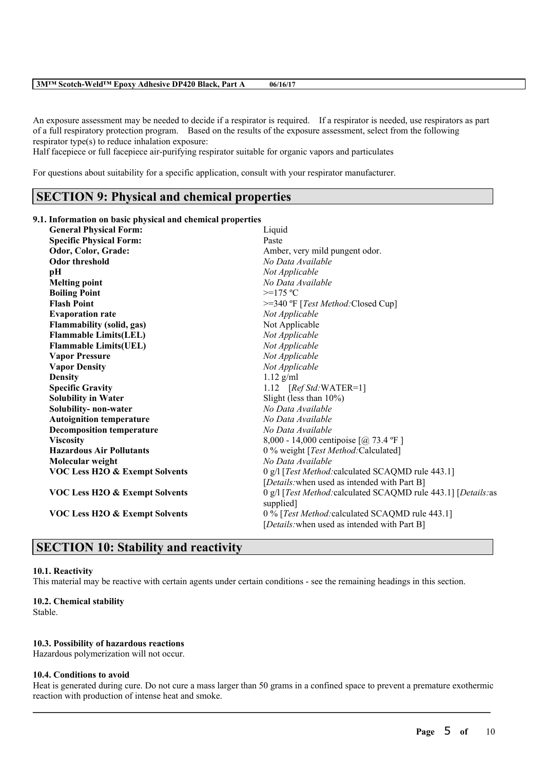#### **3M™ Scotch-Weld™ Epoxy Adhesive DP420 Black, Part A 06/16/17**

An exposure assessment may be needed to decide if a respirator is required. If a respirator is needed, use respirators as part of a full respiratory protection program. Based on the results of the exposure assessment, select from the following respirator type(s) to reduce inhalation exposure:

Half facepiece or full facepiece air-purifying respirator suitable for organic vapors and particulates

For questions about suitability for a specific application, consult with your respirator manufacturer.

# **SECTION 9: Physical and chemical properties**

#### **9.1. Information on basic physical and chemical properties**

| <b>General Physical Form:</b>             | Liquid                                                                                          |
|-------------------------------------------|-------------------------------------------------------------------------------------------------|
| <b>Specific Physical Form:</b>            | Paste                                                                                           |
| Odor, Color, Grade:                       | Amber, very mild pungent odor.                                                                  |
| <b>Odor threshold</b>                     | No Data Available                                                                               |
| рH                                        | Not Applicable                                                                                  |
| <b>Melting point</b>                      | No Data Available                                                                               |
| <b>Boiling Point</b>                      | $>=175 °C$                                                                                      |
| <b>Flash Point</b>                        | >=340 °F [Test Method: Closed Cup]                                                              |
| <b>Evaporation rate</b>                   | Not Applicable                                                                                  |
| <b>Flammability (solid, gas)</b>          | Not Applicable                                                                                  |
| <b>Flammable Limits(LEL)</b>              | Not Applicable                                                                                  |
| <b>Flammable Limits(UEL)</b>              | Not Applicable                                                                                  |
| <b>Vapor Pressure</b>                     | Not Applicable                                                                                  |
| <b>Vapor Density</b>                      | Not Applicable                                                                                  |
| <b>Density</b>                            | $1.12$ g/ml                                                                                     |
| <b>Specific Gravity</b>                   | 1.12 $[RefStd:WATER=1]$                                                                         |
| <b>Solubility in Water</b>                | Slight (less than $10\%$ )                                                                      |
| Solubility-non-water                      | No Data Available                                                                               |
| <b>Autoignition temperature</b>           | No Data Available                                                                               |
| <b>Decomposition temperature</b>          | No Data Available                                                                               |
| <b>Viscosity</b>                          | 8,000 - 14,000 centipoise $[@] 73.4 °F]$                                                        |
| <b>Hazardous Air Pollutants</b>           | 0 % weight [Test Method:Calculated]                                                             |
| Molecular weight                          | No Data Available                                                                               |
| <b>VOC Less H2O &amp; Exempt Solvents</b> | 0 g/l [Test Method: calculated SCAQMD rule 443.1]                                               |
|                                           | [Details: when used as intended with Part B]                                                    |
| VOC Less H2O & Exempt Solvents            | 0 g/l [Test Method: calculated SCAQMD rule 443.1] [Details: as<br>supplied]                     |
| <b>VOC Less H2O &amp; Exempt Solvents</b> | 0 % [Test Method: calculated SCAQMD rule 443.1]<br>[Details: when used as intended with Part B] |

# **SECTION 10: Stability and reactivity**

## **10.1. Reactivity**

This material may be reactive with certain agents under certain conditions - see the remaining headings in this section.

# **10.2. Chemical stability**

Stable.

#### **10.3. Possibility of hazardous reactions**

Hazardous polymerization will not occur.

#### **10.4. Conditions to avoid**

 $\mathcal{L}_\mathcal{L} = \mathcal{L}_\mathcal{L} = \mathcal{L}_\mathcal{L} = \mathcal{L}_\mathcal{L} = \mathcal{L}_\mathcal{L} = \mathcal{L}_\mathcal{L} = \mathcal{L}_\mathcal{L} = \mathcal{L}_\mathcal{L} = \mathcal{L}_\mathcal{L} = \mathcal{L}_\mathcal{L} = \mathcal{L}_\mathcal{L} = \mathcal{L}_\mathcal{L} = \mathcal{L}_\mathcal{L} = \mathcal{L}_\mathcal{L} = \mathcal{L}_\mathcal{L} = \mathcal{L}_\mathcal{L} = \mathcal{L}_\mathcal{L}$ Heat is generated during cure. Do not cure a mass larger than 50 grams in a confined space to prevent a premature exothermic reaction with production of intense heat and smoke.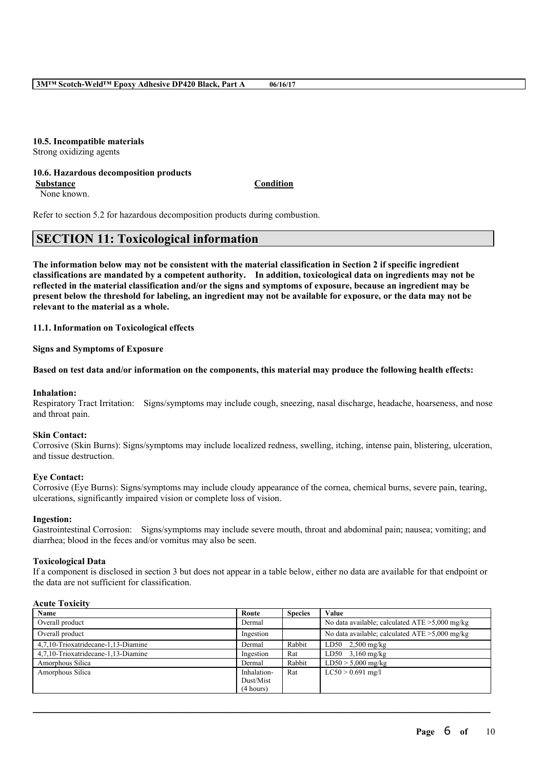# **10.5. Incompatible materials**

Strong oxidizing agents

#### **10.6. Hazardous decomposition products Substance Condition**

None known.

Refer to section 5.2 for hazardous decomposition products during combustion.

# **SECTION 11: Toxicological information**

The information below may not be consistent with the material classification in Section 2 if specific ingredient **classifications are mandated by a competent authority. In addition, toxicological data on ingredients may not be** reflected in the material classification and/or the signs and symptoms of exposure, because an ingredient may be present below the threshold for labeling, an ingredient may not be available for exposure, or the data may not be **relevant to the material as a whole.**

**11.1. Information on Toxicological effects**

**Signs and Symptoms of Exposure**

#### Based on test data and/or information on the components, this material may produce the following health effects:

#### **Inhalation:**

Respiratory Tract Irritation: Signs/symptoms may include cough, sneezing, nasal discharge, headache, hoarseness, and nose and throat pain.

#### **Skin Contact:**

Corrosive (Skin Burns): Signs/symptoms may include localized redness, swelling, itching, intense pain, blistering, ulceration, and tissue destruction.

#### **Eye Contact:**

Corrosive (Eye Burns): Signs/symptoms may include cloudy appearance of the cornea, chemical burns, severe pain, tearing, ulcerations, significantly impaired vision or complete loss of vision.

### **Ingestion:**

Gastrointestinal Corrosion: Signs/symptoms may include severe mouth, throat and abdominal pain; nausea; vomiting; and diarrhea; blood in the feces and/or vomitus may also be seen.

#### **Toxicological Data**

If a component is disclosed in section 3 but does not appear in a table below, either no data are available for that endpoint or the data are not sufficient for classification.

#### **Acute Toxicity**

| <b>Name</b>                         | Route       | <b>Species</b> | Value                                             |
|-------------------------------------|-------------|----------------|---------------------------------------------------|
| Overall product                     | Dermal      |                | No data available; calculated $ATE > 5,000$ mg/kg |
| Overall product                     | Ingestion   |                | No data available; calculated $ATE > 5,000$ mg/kg |
| 4.7.10-Trioxatridecane-1.13-Diamine | Dermal      | Rabbit         | LD50 $2,500$ mg/kg                                |
| 4.7.10-Trioxatridecane-1.13-Diamine | Ingestion   | Rat            | $LD50$ 3,160 mg/kg                                |
| Amorphous Silica                    | Dermal      | Rabbit         | $LD50 > 5,000$ mg/kg                              |
| Amorphous Silica                    | Inhalation- | Rat            | $LC50 > 0.691$ mg/l                               |
|                                     | Dust/Mist   |                |                                                   |
|                                     | (4 hours)   |                |                                                   |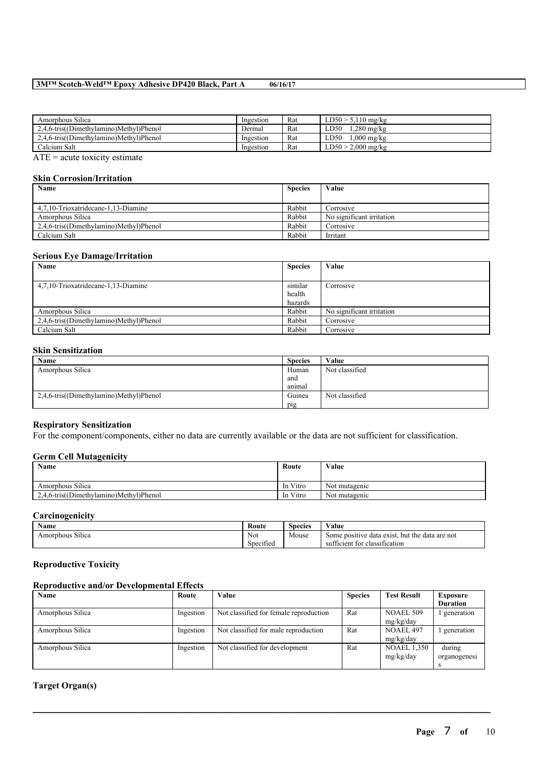## **3M™ Scotch-Weld™ Epoxy Adhesive DP420 Black, Part A 06/16/17**

| Amorphous Silica                        | Ingestion | Rat | $LD50 > 5,110$ mg/kg |
|-----------------------------------------|-----------|-----|----------------------|
| 2.4.6-tris((Dimethylamino)Methyl)Phenol | Dermal    | Rat | $.280$ mg/kg<br>LD50 |
| 2.4.6-tris((Dimethylamino)Methyl)Phenol | Ingestion | Rat | .000 mg/kg<br>LD50   |
| Calcium Salt                            | Ingestion | Rat | $LD50 > 2,000$ mg/kg |

 $\overline{ATE}$  = acute toxicity estimate

#### **Skin Corrosion/Irritation**

| Name                                    | <b>Species</b> | Value                     |
|-----------------------------------------|----------------|---------------------------|
| 4.7.10-Trioxatridecane-1.13-Diamine     | Rabbit         | Corrosive                 |
| Amorphous Silica                        | Rabbit         | No significant irritation |
| 2,4,6-tris((Dimethylamino)Methyl)Phenol | Rabbit         | Corrosive                 |
| Calcium Salt                            | Rabbit         | Irritant                  |

## **Serious Eye Damage/Irritation**

| Name                                    | <b>Species</b> | Value                     |
|-----------------------------------------|----------------|---------------------------|
|                                         |                |                           |
| 4,7,10-Trioxatridecane-1,13-Diamine     | similar        | Corrosive                 |
|                                         | health         |                           |
|                                         | hazards        |                           |
| Amorphous Silica                        | Rabbit         | No significant irritation |
| 2,4,6-tris((Dimethylamino)Methyl)Phenol | Rabbit         | Corrosive                 |
| Calcium Salt                            | Rabbit         | Corrosive                 |

#### **Skin Sensitization**

| Name                                    | <b>Species</b> | Value          |
|-----------------------------------------|----------------|----------------|
| Amorphous Silica                        | Human          | Not classified |
|                                         | and            |                |
|                                         | animal         |                |
| 2,4,6-tris((Dimethylamino)Methyl)Phenol | Guinea         | Not classified |
|                                         | pig            |                |

# **Respiratory Sensitization**

For the component/components, either no data are currently available or the data are not sufficient for classification.

#### **Germ Cell Mutagenicity**

| Name                                    | Route    | Value         |
|-----------------------------------------|----------|---------------|
| Amorphous Silica                        | In Vitro | Not mutagenic |
| 2,4,6-tris((Dimethylamino)Methyl)Phenol | In Vitro | Not mutagenic |

## **Carcinogenicity**

| - -<br>Name                | Route     | Species | ---<br>⁄ alue                                                 |
|----------------------------|-----------|---------|---------------------------------------------------------------|
| $\sim$<br>Amorphous Silica | Not       | Mouse   | but the<br>e data exist<br>e positive<br>data are not<br>Some |
|                            | Specified |         | tor<br>classification<br>ficient<br>suf                       |

#### **Reproductive Toxicity**

## **Reproductive and/or Developmental Effects**

| Name             | Route     | Value                                  | <b>Species</b> | <b>Test Result</b> | <b>Exposure</b> |
|------------------|-----------|----------------------------------------|----------------|--------------------|-----------------|
|                  |           |                                        |                |                    | <b>Duration</b> |
| Amorphous Silica | Ingestion | Not classified for female reproduction | Rat            | NOAEL 509          | generation      |
|                  |           |                                        |                | mg/kg/day          |                 |
| Amorphous Silica | Ingestion | Not classified for male reproduction   | Rat            | NOAEL 497          | generation      |
|                  |           |                                        |                | mg/kg/day          |                 |
| Amorphous Silica | Ingestion | Not classified for development         | Rat            | <b>NOAEL 1.350</b> | during          |
|                  |           |                                        |                | mg/kg/day          | organogenesi    |
|                  |           |                                        |                |                    |                 |

 $\mathcal{L}_\mathcal{L} = \mathcal{L}_\mathcal{L} = \mathcal{L}_\mathcal{L} = \mathcal{L}_\mathcal{L} = \mathcal{L}_\mathcal{L} = \mathcal{L}_\mathcal{L} = \mathcal{L}_\mathcal{L} = \mathcal{L}_\mathcal{L} = \mathcal{L}_\mathcal{L} = \mathcal{L}_\mathcal{L} = \mathcal{L}_\mathcal{L} = \mathcal{L}_\mathcal{L} = \mathcal{L}_\mathcal{L} = \mathcal{L}_\mathcal{L} = \mathcal{L}_\mathcal{L} = \mathcal{L}_\mathcal{L} = \mathcal{L}_\mathcal{L}$ 

# **Target Organ(s)**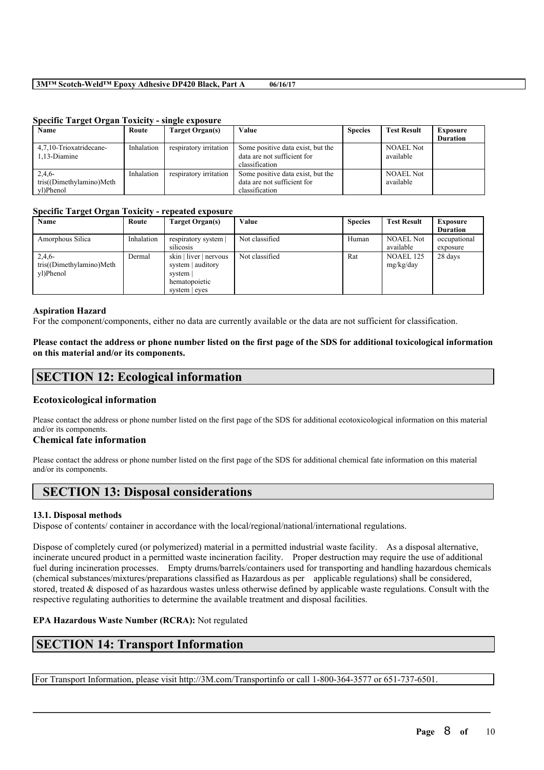## **3M™ Scotch-Weld™ Epoxy Adhesive DP420 Black, Part A 06/16/17**

| Name                     | Route      | Target Organ(s)        | Value                             | <b>Species</b> | <b>Test Result</b> | <b>Exposure</b> |
|--------------------------|------------|------------------------|-----------------------------------|----------------|--------------------|-----------------|
|                          |            |                        |                                   |                |                    | <b>Duration</b> |
| 4.7.10-Trioxatridecane-  | Inhalation | respiratory irritation | Some positive data exist, but the |                | <b>NOAEL Not</b>   |                 |
| 1.13-Diamine             |            |                        | data are not sufficient for       |                | available          |                 |
|                          |            |                        | classification                    |                |                    |                 |
| 2,4,6                    | Inhalation | respiratory irritation | Some positive data exist, but the |                | <b>NOAEL Not</b>   |                 |
| tris((Dimethylamino)Meth |            |                        | data are not sufficient for       |                | available          |                 |
| vl)Phenol                |            |                        | classification                    |                |                    |                 |

#### **Specific Target Organ Toxicity - single exposure**

#### **Specific Target Organ Toxicity - repeated exposure**

| Name                     | Route      | Target Organ(s)        | Value          | <b>Species</b> | <b>Test Result</b> | <b>Exposure</b> |
|--------------------------|------------|------------------------|----------------|----------------|--------------------|-----------------|
|                          |            |                        |                |                |                    | <b>Duration</b> |
| Amorphous Silica         | Inhalation | respiratory system     | Not classified | Human          | <b>NOAEL Not</b>   | occupational    |
|                          |            | silicosis              |                |                | available          | exposure        |
| 2,4,6                    | Dermal     | skin   liver   nervous | Not classified | Rat            | <b>NOAEL 125</b>   | 28 days         |
| tris((Dimethylamino)Meth |            | system   auditory      |                |                | mg/kg/day          |                 |
| vl)Phenol                |            | system                 |                |                |                    |                 |
|                          |            | hematopoietic          |                |                |                    |                 |
|                          |            | system   eyes          |                |                |                    |                 |

#### **Aspiration Hazard**

For the component/components, either no data are currently available or the data are not sufficient for classification.

#### Please contact the address or phone number listed on the first page of the SDS for additional toxicological information **on this material and/or its components.**

# **SECTION 12: Ecological information**

## **Ecotoxicological information**

Please contact the address or phone number listed on the first page of the SDS for additional ecotoxicological information on this material and/or its components.

#### **Chemical fate information**

Please contact the address or phone number listed on the first page of the SDS for additional chemical fate information on this material and/or its components.

# **SECTION 13: Disposal considerations**

#### **13.1. Disposal methods**

Dispose of contents/ container in accordance with the local/regional/national/international regulations.

Dispose of completely cured (or polymerized) material in a permitted industrial waste facility. As a disposal alternative, incinerate uncured product in a permitted waste incineration facility. Proper destruction may require the use of additional fuel during incineration processes. Empty drums/barrels/containers used for transporting and handling hazardous chemicals (chemical substances/mixtures/preparations classified as Hazardous as per applicable regulations) shall be considered, stored, treated & disposed of as hazardous wastes unless otherwise defined by applicable waste regulations. Consult with the respective regulating authorities to determine the available treatment and disposal facilities.

 $\mathcal{L}_\mathcal{L} = \mathcal{L}_\mathcal{L} = \mathcal{L}_\mathcal{L} = \mathcal{L}_\mathcal{L} = \mathcal{L}_\mathcal{L} = \mathcal{L}_\mathcal{L} = \mathcal{L}_\mathcal{L} = \mathcal{L}_\mathcal{L} = \mathcal{L}_\mathcal{L} = \mathcal{L}_\mathcal{L} = \mathcal{L}_\mathcal{L} = \mathcal{L}_\mathcal{L} = \mathcal{L}_\mathcal{L} = \mathcal{L}_\mathcal{L} = \mathcal{L}_\mathcal{L} = \mathcal{L}_\mathcal{L} = \mathcal{L}_\mathcal{L}$ 

#### **EPA Hazardous Waste Number (RCRA):** Not regulated

# **SECTION 14: Transport Information**

For Transport Information, please visit http://3M.com/Transportinfo or call 1-800-364-3577 or 651-737-6501.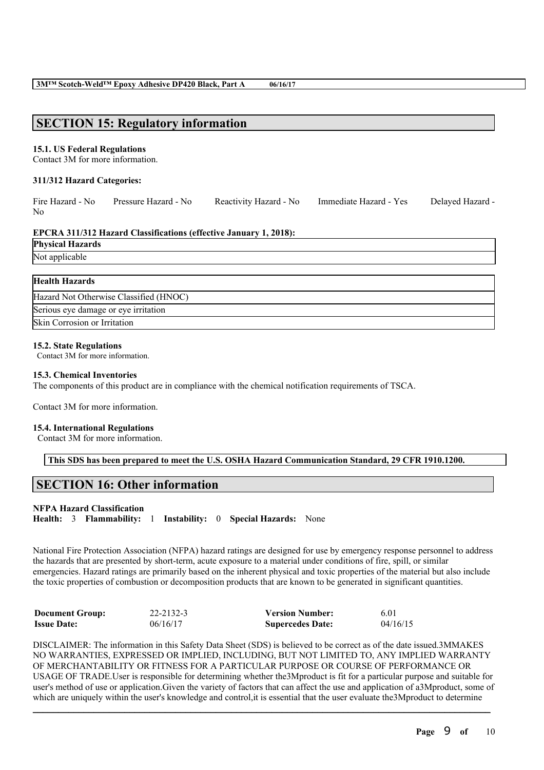# **SECTION 15: Regulatory information**

#### **15.1. US Federal Regulations**

Contact 3M for more information.

#### **311/312 Hazard Categories:**

|    | Fire Hazard - No Pressure Hazard - No | Reactivity Hazard - No | Immediate Hazard - Yes | Delayed Hazard - |
|----|---------------------------------------|------------------------|------------------------|------------------|
| No |                                       |                        |                        |                  |

#### **EPCRA 311/312 Hazard Classifications (effective January 1, 2018):**

| <b>Physical Hazards</b> |
|-------------------------|
|                         |

Not applicable

| <b>Health Hazards</b>                  |
|----------------------------------------|
| Hazard Not Otherwise Classified (HNOC) |
| Serious eye damage or eye irritation   |
| Skin Corrosion or Irritation           |

#### **15.2. State Regulations**

Contact 3M for more information.

#### **15.3. Chemical Inventories**

The components of this product are in compliance with the chemical notification requirements of TSCA.

Contact 3M for more information.

#### **15.4. International Regulations**

Contact 3M for more information.

**This SDS has been prepared to meet the U.S. OSHA Hazard Communication Standard, 29 CFR 1910.1200.**

# **SECTION 16: Other information**

#### **NFPA Hazard Classification**

**Health:** 3 **Flammability:** 1 **Instability:** 0 **Special Hazards:** None

National Fire Protection Association (NFPA) hazard ratings are designed for use by emergency response personnel to address the hazards that are presented by short-term, acute exposure to a material under conditions of fire, spill, or similar emergencies. Hazard ratings are primarily based on the inherent physical and toxic properties of the material but also include the toxic properties of combustion or decomposition products that are known to be generated in significant quantities.

| <b>Document Group:</b> | 22-2132-3 | <b>Version Number:</b>  | 6.01     |
|------------------------|-----------|-------------------------|----------|
| <b>Issue Date:</b>     | 06/16/17  | <b>Supercedes Date:</b> | 04/16/15 |

DISCLAIMER: The information in this Safety Data Sheet (SDS) is believed to be correct as of the date issued.3MMAKES NO WARRANTIES, EXPRESSED OR IMPLIED, INCLUDING, BUT NOT LIMITED TO, ANY IMPLIED WARRANTY OF MERCHANTABILITY OR FITNESS FOR A PARTICULAR PURPOSE OR COURSE OF PERFORMANCE OR USAGE OF TRADE.User is responsible for determining whether the3Mproduct is fit for a particular purpose and suitable for user's method of use or application.Given the variety of factors that can affect the use and application of a3Mproduct, some of which are uniquely within the user's knowledge and control, it is essential that the user evaluate the 3Mproduct to determine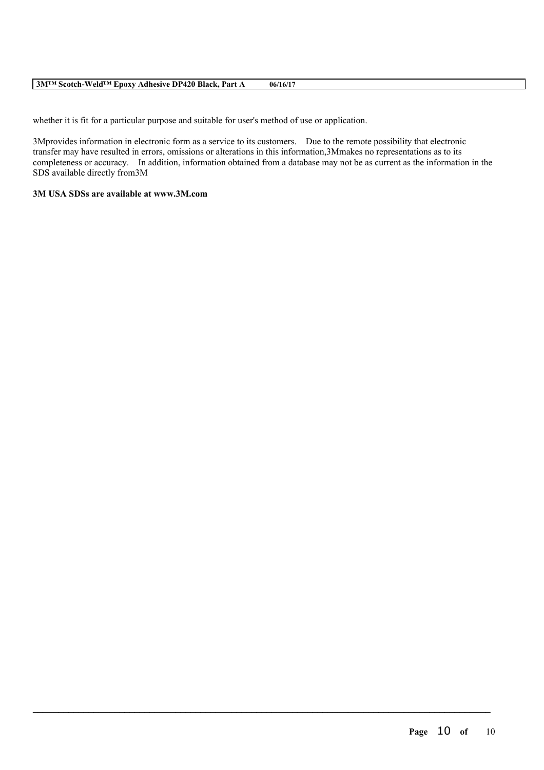#### **3M™ Scotch-Weld™ Epoxy Adhesive DP420 Black, Part A 06/16/17**

whether it is fit for a particular purpose and suitable for user's method of use or application.

3Mprovides information in electronic form as a service to its customers. Due to the remote possibility that electronic transfer may have resulted in errors, omissions or alterations in this information,3Mmakes no representations as to its completeness or accuracy. In addition, information obtained from a database may not be as current as the information in the SDS available directly from3M

 $\mathcal{L}_\mathcal{L} = \mathcal{L}_\mathcal{L} = \mathcal{L}_\mathcal{L} = \mathcal{L}_\mathcal{L} = \mathcal{L}_\mathcal{L} = \mathcal{L}_\mathcal{L} = \mathcal{L}_\mathcal{L} = \mathcal{L}_\mathcal{L} = \mathcal{L}_\mathcal{L} = \mathcal{L}_\mathcal{L} = \mathcal{L}_\mathcal{L} = \mathcal{L}_\mathcal{L} = \mathcal{L}_\mathcal{L} = \mathcal{L}_\mathcal{L} = \mathcal{L}_\mathcal{L} = \mathcal{L}_\mathcal{L} = \mathcal{L}_\mathcal{L}$ 

# **3M USA SDSs are available at www.3M.com**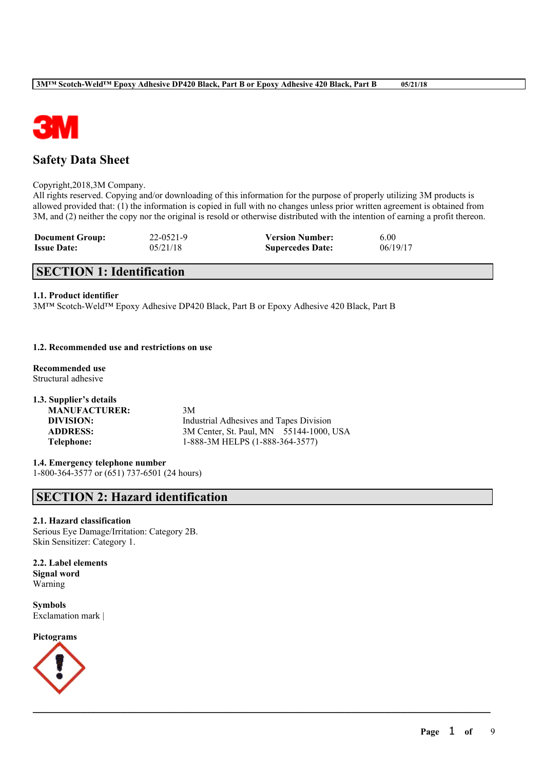

# **Safety Data Sheet**

#### Copyright,2018,3M Company.

All rights reserved. Copying and/or downloading of this information for the purpose of properly utilizing 3M products is allowed provided that: (1) the information is copied in full with no changes unless prior written agreement is obtained from 3M, and (2) neither the copy nor the original is resold or otherwise distributed with the intention of earning a profit thereon.

 $\mathcal{L}_\mathcal{L} = \mathcal{L}_\mathcal{L} = \mathcal{L}_\mathcal{L} = \mathcal{L}_\mathcal{L} = \mathcal{L}_\mathcal{L} = \mathcal{L}_\mathcal{L} = \mathcal{L}_\mathcal{L} = \mathcal{L}_\mathcal{L} = \mathcal{L}_\mathcal{L} = \mathcal{L}_\mathcal{L} = \mathcal{L}_\mathcal{L} = \mathcal{L}_\mathcal{L} = \mathcal{L}_\mathcal{L} = \mathcal{L}_\mathcal{L} = \mathcal{L}_\mathcal{L} = \mathcal{L}_\mathcal{L} = \mathcal{L}_\mathcal{L}$ 

| <b>Document Group:</b> | $22 - 0521 - 9$ | <b>Version Number:</b>  | 6.00     |
|------------------------|-----------------|-------------------------|----------|
| <b>Issue Date:</b>     | 05/21/18        | <b>Supercedes Date:</b> | 06/19/17 |

# **SECTION 1: Identification**

## **1.1. Product identifier**

3M™ Scotch-Weld™ Epoxy Adhesive DP420 Black, Part B or Epoxy Adhesive 420 Black, Part B

## **1.2. Recommended use and restrictions on use**

**Recommended use** Structural adhesive

**1.3. Supplier's details MANUFACTURER:** 3M **DIVISION:** Industrial Adhesives and Tapes Division **ADDRESS:** 3M Center, St. Paul, MN 55144-1000, USA **Telephone:** 1-888-3M HELPS (1-888-364-3577)

**1.4. Emergency telephone number** 1-800-364-3577 or (651) 737-6501 (24 hours)

# **SECTION 2: Hazard identification**

## **2.1. Hazard classification**

Serious Eye Damage/Irritation: Category 2B. Skin Sensitizer: Category 1.

**2.2. Label elements Signal word** Warning

**Symbols** Exclamation mark |

**Pictograms**

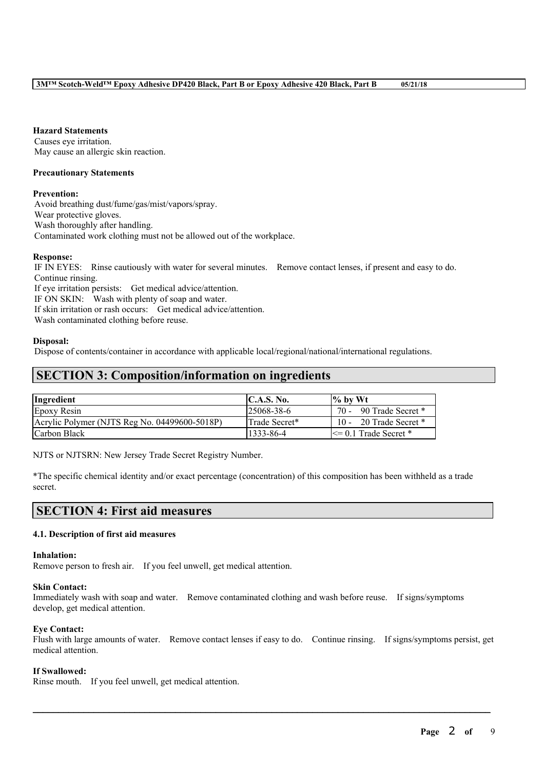**Hazard Statements**

Causes eye irritation. May cause an allergic skin reaction.

## **Precautionary Statements**

## **Prevention:**

Avoid breathing dust/fume/gas/mist/vapors/spray. Wear protective gloves. Wash thoroughly after handling. Contaminated work clothing must not be allowed out of the workplace.

## **Response:**

IF IN EYES: Rinse cautiously with water for several minutes. Remove contact lenses, if present and easy to do. Continue rinsing. If eye irritation persists: Get medical advice/attention. IF ON SKIN: Wash with plenty of soap and water. If skin irritation or rash occurs: Get medical advice/attention. Wash contaminated clothing before reuse.

#### **Disposal:**

Dispose of contents/container in accordance with applicable local/regional/national/international regulations.

# **SECTION 3: Composition/information on ingredients**

| Ingredient                                    | C.A.S. No.        | $\%$ by Wt                |
|-----------------------------------------------|-------------------|---------------------------|
| Epoxy Resin                                   | $125068 - 38 - 6$ | 70 - 90 Trade Secret *    |
| Acrylic Polymer (NJTS Reg No. 04499600-5018P) | Trade Secret*     | 10 - 20 Trade Secret $*$  |
| Carbon Black                                  | 1333-86-4         | $\leq$ 0.1 Trade Secret * |

NJTS or NJTSRN: New Jersey Trade Secret Registry Number.

\*The specific chemical identity and/or exact percentage (concentration) of this composition has been withheld as a trade secret.

# **SECTION 4: First aid measures**

## **4.1. Description of first aid measures**

#### **Inhalation:**

Remove person to fresh air. If you feel unwell, get medical attention.

#### **Skin Contact:**

Immediately wash with soap and water. Remove contaminated clothing and wash before reuse. If signs/symptoms develop, get medical attention.

#### **Eye Contact:**

Flush with large amounts of water. Remove contact lenses if easy to do. Continue rinsing. If signs/symptoms persist, get medical attention.

 $\mathcal{L}_\mathcal{L} = \mathcal{L}_\mathcal{L} = \mathcal{L}_\mathcal{L} = \mathcal{L}_\mathcal{L} = \mathcal{L}_\mathcal{L} = \mathcal{L}_\mathcal{L} = \mathcal{L}_\mathcal{L} = \mathcal{L}_\mathcal{L} = \mathcal{L}_\mathcal{L} = \mathcal{L}_\mathcal{L} = \mathcal{L}_\mathcal{L} = \mathcal{L}_\mathcal{L} = \mathcal{L}_\mathcal{L} = \mathcal{L}_\mathcal{L} = \mathcal{L}_\mathcal{L} = \mathcal{L}_\mathcal{L} = \mathcal{L}_\mathcal{L}$ 

## **If Swallowed:**

Rinse mouth. If you feel unwell, get medical attention.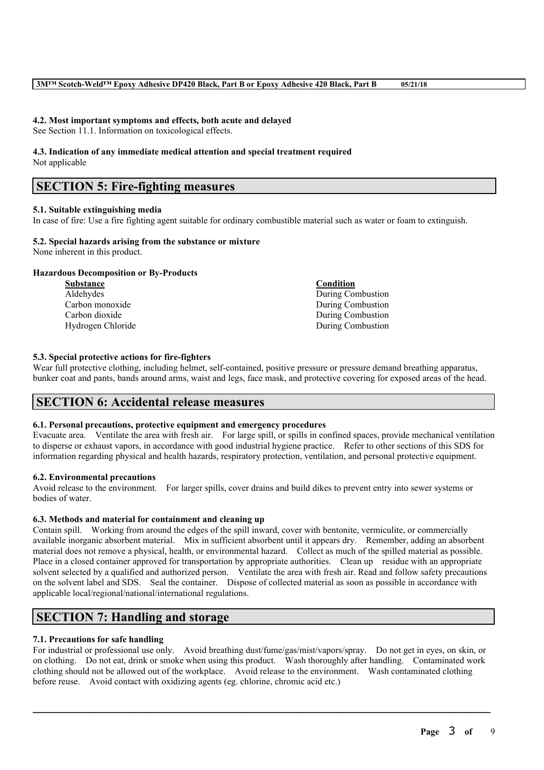#### **4.2. Most important symptoms and effects, both acute and delayed**

See Section 11.1. Information on toxicological effects.

# **4.3. Indication of any immediate medical attention and special treatment required**

Not applicable

# **SECTION 5: Fire-fighting measures**

## **5.1. Suitable extinguishing media**

In case of fire: Use a fire fighting agent suitable for ordinary combustible material such as water or foam to extinguish.

# **5.2. Special hazards arising from the substance or mixture**

None inherent in this product.

## **Hazardous Decomposition or By-Products**

| <b>Substance</b>  | Condition         |
|-------------------|-------------------|
| Aldehydes         | During Combustion |
| Carbon monoxide   | During Combustion |
| Carbon dioxide    | During Combustion |
| Hydrogen Chloride | During Combustion |

## **5.3. Special protective actions for fire-fighters**

Wear full protective clothing, including helmet, self-contained, positive pressure or pressure demand breathing apparatus, bunker coat and pants, bands around arms, waist and legs, face mask, and protective covering for exposed areas of the head.

# **SECTION 6: Accidental release measures**

## **6.1. Personal precautions, protective equipment and emergency procedures**

Evacuate area. Ventilate the area with fresh air. For large spill, or spills in confined spaces, provide mechanical ventilation to disperse or exhaust vapors, in accordance with good industrial hygiene practice. Refer to other sections of this SDS for information regarding physical and health hazards, respiratory protection, ventilation, and personal protective equipment.

## **6.2. Environmental precautions**

Avoid release to the environment. For larger spills, cover drains and build dikes to prevent entry into sewer systems or bodies of water.

## **6.3. Methods and material for containment and cleaning up**

Contain spill. Working from around the edges of the spill inward, cover with bentonite, vermiculite, or commercially available inorganic absorbent material. Mix in sufficient absorbent until it appears dry. Remember, adding an absorbent material does not remove a physical, health, or environmental hazard. Collect as much of the spilled material as possible. Place in a closed container approved for transportation by appropriate authorities. Clean up residue with an appropriate solvent selected by a qualified and authorized person. Ventilate the area with fresh air. Read and follow safety precautions on the solvent label and SDS. Seal the container. Dispose of collected material as soon as possible in accordance with applicable local/regional/national/international regulations.

# **SECTION 7: Handling and storage**

# **7.1. Precautions for safe handling**

For industrial or professional use only. Avoid breathing dust/fume/gas/mist/vapors/spray. Do not get in eyes, on skin, or on clothing. Do not eat, drink or smoke when using this product. Wash thoroughly after handling. Contaminated work clothing should not be allowed out of the workplace. Avoid release to the environment. Wash contaminated clothing before reuse. Avoid contact with oxidizing agents (eg. chlorine, chromic acid etc.)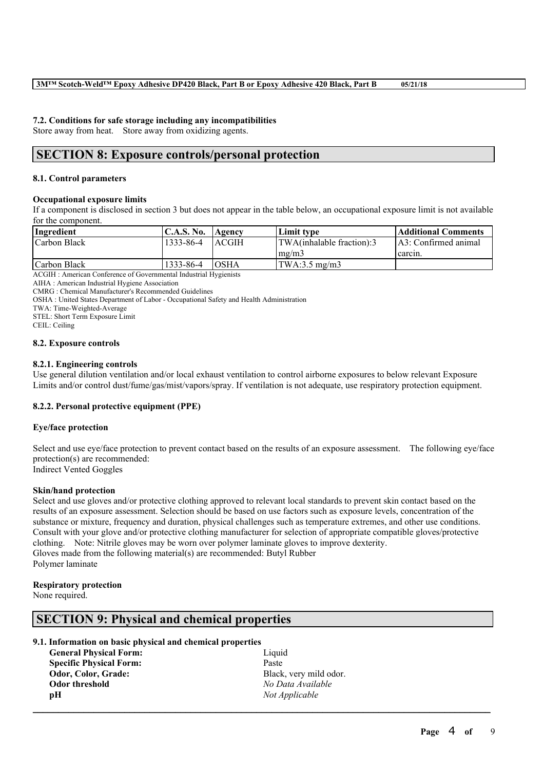## **7.2. Conditions for safe storage including any incompatibilities**

Store away from heat. Store away from oxidizing agents.

# **SECTION 8: Exposure controls/personal protection**

#### **8.1. Control parameters**

## **Occupational exposure limits**

If a component is disclosed in section 3 but does not appear in the table below, an occupational exposure limit is not available for the component.

| Ingredient   | <b>C.A.S. No.</b> | Agency        | Limit tvpe                   | Additional Comments   |
|--------------|-------------------|---------------|------------------------------|-----------------------|
| Carbon Black | 1333-86-4         | <b>LACGIH</b> | TWA(inhalable fraction):3    | LA3: Confirmed animal |
|              |                   |               | $\lfloor$ mg/m $\frac{3}{2}$ | carcin.               |
| Carbon Black | 1333-86-4         | <b>TOSHA</b>  | $ITWA:3.5$ mg/m3             |                       |

ACGIH : American Conference of Governmental Industrial Hygienists

AIHA : American Industrial Hygiene Association

CMRG : Chemical Manufacturer's Recommended Guidelines

OSHA : United States Department of Labor - Occupational Safety and Health Administration

TWA: Time-Weighted-Average

STEL: Short Term Exposure Limit

CEIL: Ceiling

#### **8.2. Exposure controls**

#### **8.2.1. Engineering controls**

Use general dilution ventilation and/or local exhaust ventilation to control airborne exposures to below relevant Exposure Limits and/or control dust/fume/gas/mist/vapors/spray. If ventilation is not adequate, use respiratory protection equipment.

## **8.2.2. Personal protective equipment (PPE)**

## **Eye/face protection**

Select and use eye/face protection to prevent contact based on the results of an exposure assessment. The following eye/face protection(s) are recommended: Indirect Vented Goggles

## **Skin/hand protection**

Select and use gloves and/or protective clothing approved to relevant local standards to prevent skin contact based on the results of an exposure assessment. Selection should be based on use factors such as exposure levels, concentration of the substance or mixture, frequency and duration, physical challenges such as temperature extremes, and other use conditions. Consult with your glove and/or protective clothing manufacturer for selection of appropriate compatible gloves/protective clothing. Note: Nitrile gloves may be worn over polymer laminate gloves to improve dexterity. Gloves made from the following material(s) are recommended: Butyl Rubber Polymer laminate

 $\mathcal{L}_\mathcal{L} = \mathcal{L}_\mathcal{L} = \mathcal{L}_\mathcal{L} = \mathcal{L}_\mathcal{L} = \mathcal{L}_\mathcal{L} = \mathcal{L}_\mathcal{L} = \mathcal{L}_\mathcal{L} = \mathcal{L}_\mathcal{L} = \mathcal{L}_\mathcal{L} = \mathcal{L}_\mathcal{L} = \mathcal{L}_\mathcal{L} = \mathcal{L}_\mathcal{L} = \mathcal{L}_\mathcal{L} = \mathcal{L}_\mathcal{L} = \mathcal{L}_\mathcal{L} = \mathcal{L}_\mathcal{L} = \mathcal{L}_\mathcal{L}$ 

## **Respiratory protection**

None required.

# **SECTION 9: Physical and chemical properties**

| 9.1. Information on basic physical and chemical properties |
|------------------------------------------------------------|
| Liquid                                                     |
| Paste                                                      |
| Black, very mild odor.                                     |
| No Data Available                                          |
| Not Applicable                                             |
|                                                            |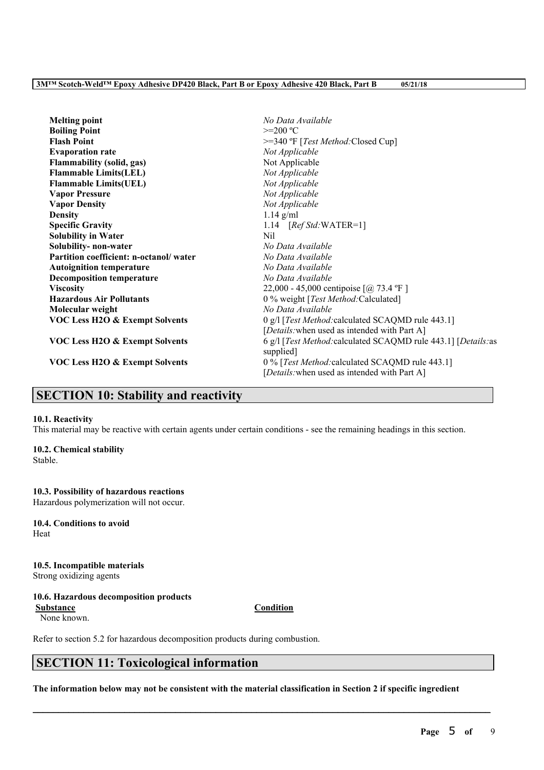| <b>Melting point</b>                      | No Data Available                                              |
|-------------------------------------------|----------------------------------------------------------------|
| <b>Boiling Point</b>                      | $>=200 °C$                                                     |
| <b>Flash Point</b>                        | >=340 °F [Test Method:Closed Cup]                              |
| <b>Evaporation rate</b>                   | Not Applicable                                                 |
| <b>Flammability (solid, gas)</b>          | Not Applicable                                                 |
| <b>Flammable Limits(LEL)</b>              | Not Applicable                                                 |
| <b>Flammable Limits(UEL)</b>              | Not Applicable                                                 |
| <b>Vapor Pressure</b>                     | Not Applicable                                                 |
| <b>Vapor Density</b>                      | Not Applicable                                                 |
| <b>Density</b>                            | $1.14$ g/ml                                                    |
| <b>Specific Gravity</b>                   | 1.14 $[RefStd:WATER=1]$                                        |
| <b>Solubility in Water</b>                | Nil                                                            |
| Solubility- non-water                     | No Data Available                                              |
| Partition coefficient: n-octanol/water    | No Data Available                                              |
| <b>Autoignition temperature</b>           | No Data Available                                              |
| <b>Decomposition temperature</b>          | No Data Available                                              |
| <b>Viscosity</b>                          | 22,000 - 45,000 centipoise $[@] 73.4$ °F ]                     |
| <b>Hazardous Air Pollutants</b>           | 0 % weight [Test Method: Calculated]                           |
| Molecular weight                          | No Data Available                                              |
| <b>VOC Less H2O &amp; Exempt Solvents</b> | 0 g/l [Test Method: calculated SCAQMD rule 443.1]              |
|                                           | [Details: when used as intended with Part A]                   |
| <b>VOC Less H2O &amp; Exempt Solvents</b> | 6 g/l [Test Method: calculated SCAQMD rule 443.1] [Details: as |
|                                           | supplied.                                                      |
| <b>VOC Less H2O &amp; Exempt Solvents</b> | 0 % [Test Method: calculated SCAQMD rule 443.1]                |
|                                           | [Details: when used as intended with Part A]                   |

# **SECTION 10: Stability and reactivity**

## **10.1. Reactivity**

This material may be reactive with certain agents under certain conditions - see the remaining headings in this section.

# **10.2. Chemical stability**

Stable.

# **10.3. Possibility of hazardous reactions**

Hazardous polymerization will not occur.

**10.4. Conditions to avoid** Heat

**10.5. Incompatible materials** Strong oxidizing agents

## **10.6. Hazardous decomposition products**

**Substance Condition** None known.

Refer to section 5.2 for hazardous decomposition products during combustion.

# **SECTION 11: Toxicological information**

The information below may not be consistent with the material classification in Section 2 if specific ingredient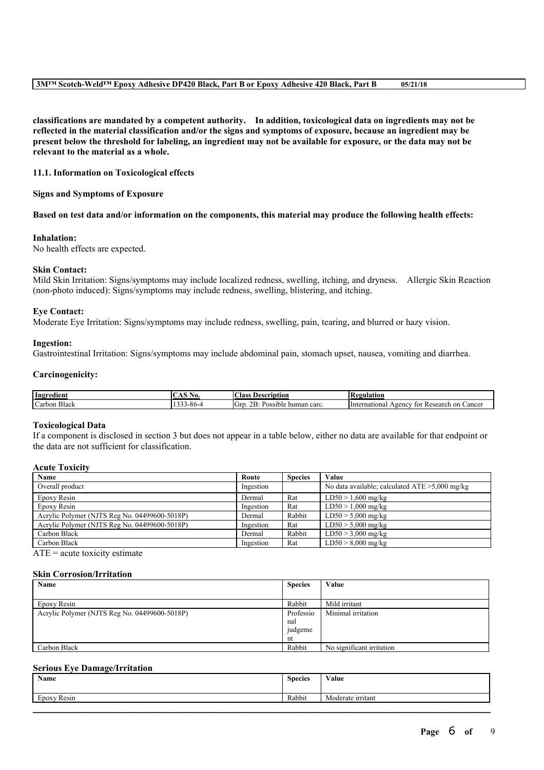#### **3M™ Scotch-Weld™ Epoxy Adhesive DP420 Black, Part B or Epoxy Adhesive 420 Black, Part B 05/21/18**

**classifications are mandated by a competent authority. In addition, toxicological data on ingredients may not be** reflected in the material classification and/or the signs and symptoms of exposure, because an ingredient may be present below the threshold for labeling, an ingredient may not be available for exposure, or the data may not be **relevant to the material as a whole.**

### **11.1. Information on Toxicological effects**

**Signs and Symptoms of Exposure**

Based on test data and/or information on the components, this material may produce the following health effects:

#### **Inhalation:**

No health effects are expected.

#### **Skin Contact:**

Mild Skin Irritation: Signs/symptoms may include localized redness, swelling, itching, and dryness. Allergic Skin Reaction (non-photo induced): Signs/symptoms may include redness, swelling, blistering, and itching.

#### **Eye Contact:**

Moderate Eye Irritation: Signs/symptoms may include redness, swelling, pain, tearing, and blurred or hazy vision.

#### **Ingestion:**

Gastrointestinal Irritation: Signs/symptoms may include abdominal pain, stomach upset, nausea, vomiting and diarrhea.

#### **Carcinogenicity:**

| Ingredient                | $\tilde{\phantom{a}}$<br>NO. | $\sim$<br>scription<br>Aas<br><b>Des</b>                                      | kegulation<br>Ke.                                                       |
|---------------------------|------------------------------|-------------------------------------------------------------------------------|-------------------------------------------------------------------------|
| $\sim$<br>Black<br>Carbon | s-xn-<br>.                   | $\sim$ $\sim$<br>$\sqrt{2}$<br>~~<br>.,<br>carc<br>Possible<br>human<br>' UIL | Hnternational<br>on<br>Research<br>. Cancer<br>A <sub>genc</sub><br>for |

#### **Toxicological Data**

If a component is disclosed in section 3 but does not appear in a table below, either no data are available for that endpoint or the data are not sufficient for classification.

# **Acute Toxicity**

| Name                                          | Route     | <b>Species</b> | Value                                             |
|-----------------------------------------------|-----------|----------------|---------------------------------------------------|
| Overall product                               | Ingestion |                | No data available; calculated $ATE > 5,000$ mg/kg |
| Epoxy Resin                                   | Dermal    | Rat            | $LD50 > 1,600$ mg/kg                              |
| Epoxy Resin                                   | Ingestion | Rat            | $LD50 > 1,000$ mg/kg                              |
| Acrylic Polymer (NJTS Reg No. 04499600-5018P) | Dermal    | Rabbit         | $LD50 > 5,000$ mg/kg                              |
| Acrylic Polymer (NJTS Reg No. 04499600-5018P) | Ingestion | Rat            | $LD50 > 5,000$ mg/kg                              |
| Carbon Black                                  | Dermal    | Rabbit         | $LD50 > 3,000$ mg/kg                              |
| Carbon Black                                  | Ingestion | Rat            | $LD50 > 8,000$ mg/kg                              |

 $ATE = acute$  toxicity estimate

#### **Skin Corrosion/Irritation**

| <b>Species</b> | Value                     |
|----------------|---------------------------|
|                |                           |
| Rabbit         | Mild irritant             |
| Professio      | Minimal irritation        |
| nal            |                           |
| judgeme        |                           |
| nt             |                           |
| Rabbit         | No significant irritation |
|                |                           |

# **Serious Eye Damage/Irritation**

| Value             |
|-------------------|
| Moderate irritant |
|                   |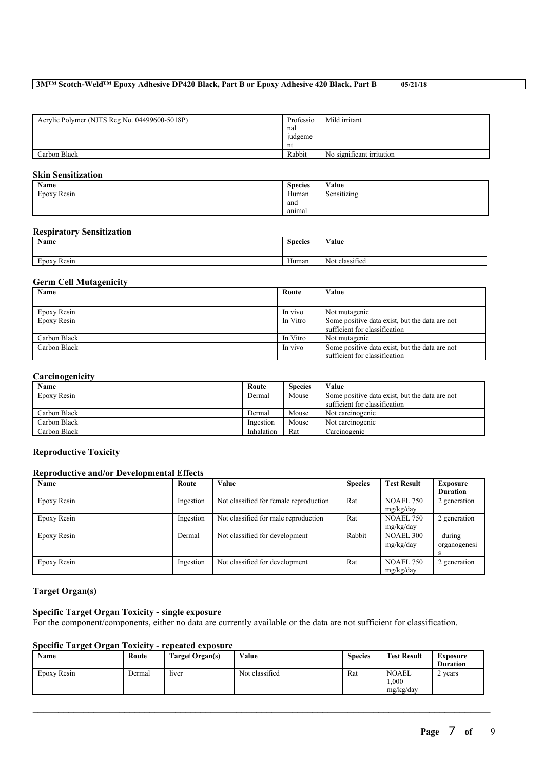# **3M™ Scotch-Weld™ Epoxy Adhesive DP420 Black, Part B or Epoxy Adhesive 420 Black, Part B 05/21/18**

| Acrylic Polymer (NJTS Reg No. 04499600-5018P) | Professio      | Mild irritant             |
|-----------------------------------------------|----------------|---------------------------|
|                                               | nal            |                           |
|                                               | <i>judgeme</i> |                           |
|                                               | nt             |                           |
| Carbon Black                                  | Rabbit         | No significant irritation |

#### **Skin Sensitization**

| Name        | <b>Species</b> | Value       |
|-------------|----------------|-------------|
| Epoxy Resin | Human          | Sensitizing |
|             | and            |             |
|             | animal         |             |

## **Respiratory Sensitization**

| Name                     | <b>Species</b> | Value                            |
|--------------------------|----------------|----------------------------------|
| $\sim$<br>Resin<br>Epoxy | Human          | $\cdot$ $\sim$<br>Not classified |

## **Germ Cell Mutagenicity**

| Name         | Route    | Value                                          |
|--------------|----------|------------------------------------------------|
|              |          |                                                |
| Epoxy Resin  | In vivo  | Not mutagenic                                  |
| Epoxy Resin  | In Vitro | Some positive data exist, but the data are not |
|              |          | sufficient for classification                  |
| Carbon Black | In Vitro | Not mutagenic                                  |
| Carbon Black | In vivo  | Some positive data exist, but the data are not |
|              |          | sufficient for classification                  |

## **Carcinogenicity**

| Name         | Route      | <b>Species</b> | Value                                          |
|--------------|------------|----------------|------------------------------------------------|
| Epoxy Resin  | Dermal     | Mouse          | Some positive data exist, but the data are not |
|              |            |                | sufficient for classification                  |
| Carbon Black | Dermal     | Mouse          | Not carcinogenic                               |
| Carbon Black | Ingestion  | Mouse          | Not carcinogenic                               |
| Carbon Black | Inhalation | Rat            | Carcinogenic                                   |

## **Reproductive Toxicity**

# **Reproductive and/or Developmental Effects**

| Name        | Route     | <b>Value</b>                           | <b>Species</b> | <b>Test Result</b> | <b>Exposure</b> |
|-------------|-----------|----------------------------------------|----------------|--------------------|-----------------|
|             |           |                                        |                |                    | <b>Duration</b> |
| Epoxy Resin | Ingestion | Not classified for female reproduction | Rat            | <b>NOAEL 750</b>   | 2 generation    |
|             |           |                                        |                | mg/kg/day          |                 |
| Epoxy Resin | Ingestion | Not classified for male reproduction   | Rat            | <b>NOAEL 750</b>   | 2 generation    |
|             |           |                                        |                | mg/kg/day          |                 |
| Epoxy Resin | Dermal    | Not classified for development         | Rabbit         | <b>NOAEL 300</b>   | during          |
|             |           |                                        |                | mg/kg/day          | organogenesi    |
|             |           |                                        |                |                    | S               |
| Epoxy Resin | Ingestion | Not classified for development         | Rat            | <b>NOAEL 750</b>   | 2 generation    |
|             |           |                                        |                | mg/kg/day          |                 |

# **Target Organ(s)**

# **Specific Target Organ Toxicity - single exposure**

For the component/components, either no data are currently available or the data are not sufficient for classification.

## **Specific Target Organ Toxicity - repeated exposure**

| Name        | Route  | Target Organ(s) | Value          | <b>Species</b> | <b>Test Result</b>                | <b>Exposure</b><br><b>Duration</b> |
|-------------|--------|-----------------|----------------|----------------|-----------------------------------|------------------------------------|
| Epoxy Resin | Dermal | liver           | Not classified | Rat            | <b>NOAEL</b><br>.000<br>mg/kg/day | 2 years                            |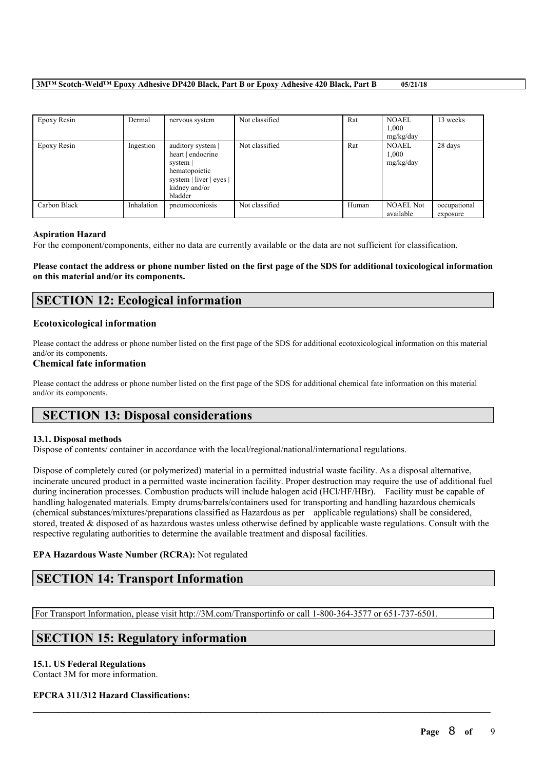## **3M™ Scotch-Weld™ Epoxy Adhesive DP420 Black, Part B or Epoxy Adhesive 420 Black, Part B 05/21/18**

| Epoxy Resin  | Dermal     | nervous system                                                                                                           | Not classified | Rat   | <b>NOAEL</b><br>1.000<br>mg/kg/day | 13 weeks                 |
|--------------|------------|--------------------------------------------------------------------------------------------------------------------------|----------------|-------|------------------------------------|--------------------------|
| Epoxy Resin  | Ingestion  | auditory system<br>heart   endocrine<br>system  <br>hematopoietic<br>system   liver   eyes  <br>kidney and/or<br>bladder | Not classified | Rat   | <b>NOAEL</b><br>1,000<br>mg/kg/day | 28 days                  |
| Carbon Black | Inhalation | pneumoconiosis                                                                                                           | Not classified | Human | <b>NOAEL Not</b><br>available      | occupational<br>exposure |

## **Aspiration Hazard**

For the component/components, either no data are currently available or the data are not sufficient for classification.

Please contact the address or phone number listed on the first page of the SDS for additional toxicological information **on this material and/or its components.**

# **SECTION 12: Ecological information**

## **Ecotoxicological information**

Please contact the address or phone number listed on the first page of the SDS for additional ecotoxicological information on this material and/or its components.

## **Chemical fate information**

Please contact the address or phone number listed on the first page of the SDS for additional chemical fate information on this material and/or its components.

# **SECTION 13: Disposal considerations**

## **13.1. Disposal methods**

Dispose of contents/ container in accordance with the local/regional/national/international regulations.

Dispose of completely cured (or polymerized) material in a permitted industrial waste facility. As a disposal alternative, incinerate uncured product in a permitted waste incineration facility. Proper destruction may require the use of additional fuel during incineration processes. Combustion products will include halogen acid (HCl/HF/HBr). Facility must be capable of handling halogenated materials. Empty drums/barrels/containers used for transporting and handling hazardous chemicals (chemical substances/mixtures/preparations classified as Hazardous as per applicable regulations) shall be considered, stored, treated & disposed of as hazardous wastes unless otherwise defined by applicable waste regulations. Consult with the respective regulating authorities to determine the available treatment and disposal facilities.

 $\mathcal{L}_\mathcal{L} = \mathcal{L}_\mathcal{L} = \mathcal{L}_\mathcal{L} = \mathcal{L}_\mathcal{L} = \mathcal{L}_\mathcal{L} = \mathcal{L}_\mathcal{L} = \mathcal{L}_\mathcal{L} = \mathcal{L}_\mathcal{L} = \mathcal{L}_\mathcal{L} = \mathcal{L}_\mathcal{L} = \mathcal{L}_\mathcal{L} = \mathcal{L}_\mathcal{L} = \mathcal{L}_\mathcal{L} = \mathcal{L}_\mathcal{L} = \mathcal{L}_\mathcal{L} = \mathcal{L}_\mathcal{L} = \mathcal{L}_\mathcal{L}$ 

# **EPA Hazardous Waste Number (RCRA):** Not regulated

# **SECTION 14: Transport Information**

For Transport Information, please visit http://3M.com/Transportinfo or call 1-800-364-3577 or 651-737-6501.

# **SECTION 15: Regulatory information**

## **15.1. US Federal Regulations**

Contact 3M for more information.

# **EPCRA 311/312 Hazard Classifications:**